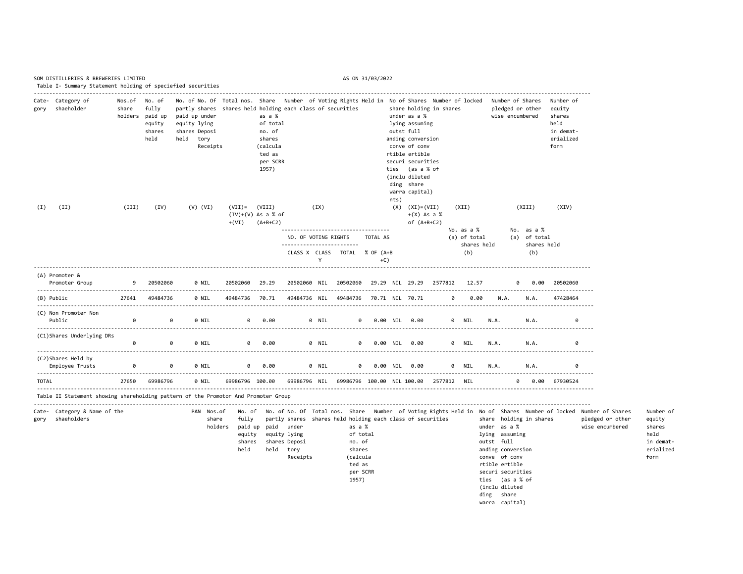|            | SOM DISTILLERIES & BREWERIES LIMITED<br>Table I- Summary Statement holding of speciefied securities |                 |                                                                |                                                                                                                                                                                                                                          |                                              |                                                                                   |                                           |       |                                                                                                                         | AS ON 31/03/2022     |       |                                                                                                                                                                                                                           |         |                                     |             |                                                                                                                                                                                                |                                                     |                                                                         |                                                                                                                                                      |                                                                         |
|------------|-----------------------------------------------------------------------------------------------------|-----------------|----------------------------------------------------------------|------------------------------------------------------------------------------------------------------------------------------------------------------------------------------------------------------------------------------------------|----------------------------------------------|-----------------------------------------------------------------------------------|-------------------------------------------|-------|-------------------------------------------------------------------------------------------------------------------------|----------------------|-------|---------------------------------------------------------------------------------------------------------------------------------------------------------------------------------------------------------------------------|---------|-------------------------------------|-------------|------------------------------------------------------------------------------------------------------------------------------------------------------------------------------------------------|-----------------------------------------------------|-------------------------------------------------------------------------|------------------------------------------------------------------------------------------------------------------------------------------------------|-------------------------------------------------------------------------|
| gory       | Cate- Category of<br>shaeholder                                                                     | Nos.of<br>share | No. of<br>fully<br>holders paid up<br>equity<br>shares<br>held | No. of No. Of Total nos. Share Number of Voting Rights Held in No of Shares Number of locked<br>partly shares shares held holding each class of securities<br>paid up under<br>equity lying<br>shares Deposi<br>held<br>tory<br>Receipts |                                              | as a %<br>of total<br>no. of<br>shares<br>(calcula<br>ted as<br>per SCRR<br>1957) |                                           |       |                                                                                                                         |                      | nts)  | share holding in shares<br>under as a %<br>lying assuming<br>outst full<br>anding conversion<br>conve of conv<br>rtible ertible<br>securi securities<br>ties (as a % of<br>(inclu diluted<br>ding share<br>warra capital) |         |                                     |             | Number of Shares<br>pledged or other<br>wise encumbered                                                                                                                                        |                                                     | Number of<br>equity<br>shares<br>held<br>in demat-<br>erialized<br>form |                                                                                                                                                      |                                                                         |
| (I)        | (II)                                                                                                | (III)           | (IV)                                                           | $(V)$ $(VI)$                                                                                                                                                                                                                             | $(VII)$ =<br>$(IV)+(V)$ As a % of<br>$+(VI)$ | (VIII)<br>$(A+B+C2)$                                                              | NO. OF VOTING RIGHTS                      | (XI)  |                                                                                                                         | TOTAL AS             |       | $(X)$ $(XI) = (VII)$<br>$+(X)$ As a %<br>of $(A+B+C2)$                                                                                                                                                                    |         | (XII)<br>No. as a %<br>(a) of total | shares held |                                                                                                                                                                                                | (XIII)<br>No. as a %<br>(a) of total<br>shares held | (XIV)                                                                   |                                                                                                                                                      |                                                                         |
|            |                                                                                                     |                 |                                                                |                                                                                                                                                                                                                                          |                                              |                                                                                   |                                           | Y     | CLASS X CLASS TOTAL % OF (A+B                                                                                           |                      | $+C)$ |                                                                                                                                                                                                                           |         | (b)                                 |             |                                                                                                                                                                                                | (b)                                                 |                                                                         |                                                                                                                                                      |                                                                         |
|            | (A) Promoter &<br>Promoter Group                                                                    | 9               | 20502060                                                       | 0 NIL<br>.                                                                                                                                                                                                                               | 20502060                                     | 29.29                                                                             | 20502060 NIL                              |       | 20502060                                                                                                                |                      |       | 29.29 NIL 29.29 2577812                                                                                                                                                                                                   |         |                                     | 12.57       | ø                                                                                                                                                                                              | 0.00                                                | 20502060                                                                |                                                                                                                                                      |                                                                         |
| (B) Public |                                                                                                     | 27641           | 49484736                                                       | 0 NIL                                                                                                                                                                                                                                    | 49484736                                     | 70.71                                                                             |                                           |       | 49484736 NIL 49484736                                                                                                   |                      |       | 70.71 NIL 70.71                                                                                                                                                                                                           |         | 0                                   | 0.00        | N.A.                                                                                                                                                                                           | N.A.                                                | 47428464                                                                |                                                                                                                                                      |                                                                         |
|            | (C) Non Promoter Non<br>Public                                                                      | 0               | 0                                                              | 0 NIL                                                                                                                                                                                                                                    | 0                                            | 0.00                                                                              |                                           | 0 NIL |                                                                                                                         | ø                    |       | 0.00 NIL 0.00                                                                                                                                                                                                             |         | 0 NIL                               | N.A.        |                                                                                                                                                                                                | N.A.                                                | 0                                                                       |                                                                                                                                                      |                                                                         |
|            | (C1)Shares Underlying DRs                                                                           | ø               | 0                                                              | 0 NIL                                                                                                                                                                                                                                    | 0                                            | 0.00                                                                              |                                           | 0 NIL |                                                                                                                         | 0                    |       | 0.00 NIL 0.00                                                                                                                                                                                                             |         | 0 NIL                               | N.A.        |                                                                                                                                                                                                | N.A.                                                | 0                                                                       |                                                                                                                                                      |                                                                         |
|            | (C2)Shares Held by<br>Employee Trusts                                                               | 0               | 0                                                              | 0 NIL                                                                                                                                                                                                                                    | ø                                            | 0.00                                                                              |                                           | 0 NIL | a                                                                                                                       |                      |       | 0.00 NIL 0.00                                                                                                                                                                                                             |         | 0 NIL                               | N.A.        |                                                                                                                                                                                                | N.A.                                                | ø                                                                       |                                                                                                                                                      |                                                                         |
| TOTAL      | Table II Statement showing shareholding pattern of the Promotor And Promoter Group                  | 27650           | 69986796                                                       | 0 NIL                                                                                                                                                                                                                                    | 69986796 100.00                              |                                                                                   |                                           |       | 69986796 NIL 69986796 100.00 NIL 100.00                                                                                 |                      |       |                                                                                                                                                                                                                           | 2577812 | NIL                                 |             | ø                                                                                                                                                                                              | 0.00                                                | 67930524                                                                |                                                                                                                                                      |                                                                         |
| gory       | Cate- Category & Name of the<br>shaeholders                                                         |                 |                                                                | PAN Nos.of<br>share<br>holders                                                                                                                                                                                                           | No. of<br>fully<br>equity<br>shares<br>held  | paid up paid under<br>held tory                                                   | equity lying<br>shares Deposi<br>Receipts |       | partly shares shares held holding each class of securities<br>as a %<br>no. of<br>shares<br>(calcula<br>ted as<br>1957) | of total<br>per SCRR |       |                                                                                                                                                                                                                           |         |                                     |             | under as a %<br>lying assuming<br>outst full<br>anding conversion<br>conve of conv<br>rtible ertible<br>securi securities<br>ties (as a % of<br>(inclu diluted<br>ding share<br>warra capital) | share holding in shares                             |                                                                         | No. of No. Of Total nos. Share Number of Voting Rights Held in No of Shares Number of locked Number of Shares<br>pledged or other<br>wise encumbered | Number of<br>equity<br>shares<br>held<br>in demat-<br>erialized<br>form |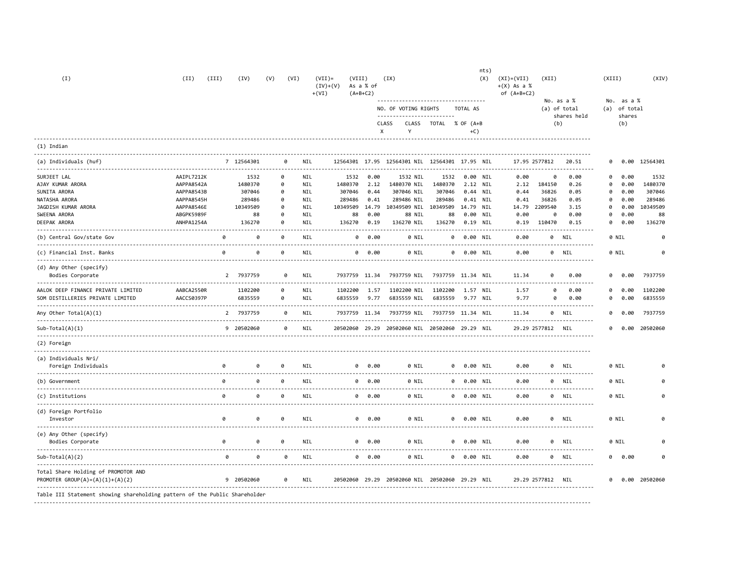| (I)                                                                    | (II)       | (III)    | (IV)                                      | (V)                  | (VI)     | $(VII)$ =<br>$(IV)+(V)$<br>$+(VI)$ | (VIII)         | As a % of<br>$(A+B+C2)$ | (XX)                                                         |                    |                      | nts)<br>(X) | $(XI) = (VII)$<br>$+(X)$ As a %<br>of $(A+B+C2)$ | (XII)             |                            | (XIII)                     |               | (XIV)    |
|------------------------------------------------------------------------|------------|----------|-------------------------------------------|----------------------|----------|------------------------------------|----------------|-------------------------|--------------------------------------------------------------|--------------------|----------------------|-------------|--------------------------------------------------|-------------------|----------------------------|----------------------------|---------------|----------|
|                                                                        |            |          |                                           |                      |          |                                    |                |                         | ------------------------------------<br>NO. OF VOTING RIGHTS |                    | TOTAL AS             |             |                                                  |                   | No. as a %<br>(a) of total | No. as a %<br>(a) of total |               |          |
|                                                                        |            |          |                                           |                      |          |                                    |                |                         | CLASS<br>CLASS<br>Y<br>X                                     | TOTAL % OF (A+B    | $+C$ )               |             |                                                  | (b)               | shares held                | shares<br>(b)              |               |          |
| $(1)$ Indian                                                           |            |          |                                           |                      |          |                                    |                |                         |                                                              |                    |                      |             |                                                  |                   |                            |                            |               |          |
| (a) Individuals (huf)                                                  |            |          | 7 12564301                                | - - - - - - <b>-</b> | 0        | NIL                                | 12564301 17.95 |                         | 12564301 NIL 12564301 17.95 NIL                              |                    |                      |             | 17.95 2577812                                    |                   | 20.51                      | 0<br>0.00                  | 12564301      |          |
| SURJEET LAL                                                            | AAIPL7212K |          | 1532                                      |                      | 0        | <b>NIL</b>                         | 1532           | 0.00                    | 1532 NIL                                                     | 1532               | 0.00 NIL             |             | 0.00                                             | ø                 | 0.00                       | 0.00<br>0                  |               | 1532     |
| AJAY KUMAR ARORA                                                       | AAPPA8542A |          | 1480370                                   |                      | 0        | NIL                                | 1480370        | 2.12                    | 1480370 NIL                                                  | 1480370            | 2.12 NIL             |             | 2.12                                             | 184150            | 0.26                       | 0<br>0.00                  | 1480370       |          |
| SUNITA ARORA                                                           | AAPPA8543B |          | 307046                                    |                      | ø        | NIL                                | 307046         | 0.44                    | 307046 NIL                                                   | 307046             | 0.44 NIL             |             | 0.44                                             | 36826             | 0.05                       | ø<br>0.00                  | 307046        |          |
| NATASHA ARORA                                                          | AAPPA8545H |          | 289486                                    |                      | 0        | NIL                                | 289486         | 0.41                    | 289486 NIL                                                   | 289486             | 0.41 NIL             |             | 0.41                                             | 36826             | 0.05                       | 0<br>0.00                  | 289486        |          |
| JAGDISH KUMAR ARORA                                                    | AAPPA8546E |          | 10349509                                  |                      | ø        | NIL                                | 10349509 14.79 |                         | 10349509 NIL                                                 | 10349509 14.79 NIL |                      |             | 14.79                                            | 2209540           | 3.15                       | ø<br>0.00                  | 10349509      |          |
| SWEENA ARORA                                                           | ABGPK5989F |          | 88                                        |                      | ø        | NIL                                | 88             | 0.00                    | 88 NIL                                                       | 88                 | 0.00 NIL             |             | 0.00                                             | ø                 | 0.00                       | ø<br>0.00                  |               | 88       |
| DEEPAK ARORA                                                           | ANHPA1254A |          | 136270                                    |                      | 0        | NIL                                | 136270         | 0.19                    | 136270 NIL                                                   | 136270             | 0.19 NIL             |             | 0.19                                             | 110470            | 0.15<br>------------       | 0<br>0.00                  | 136270        |          |
| (b) Central Gov/state Gov                                              |            | 0        | 0                                         |                      | 0        | NIL                                | 0              | 0.00                    | 0 NIL                                                        | 0                  | 0.00 NIL             |             | 0.00                                             | 0                 | NIL<br>.                   | 0 NIL                      |               |          |
| (c) Financial Inst. Banks                                              |            | a        | a                                         |                      | ø        | NIL                                |                | 0 0.00                  | 0 NTL                                                        |                    | <b>Q</b><br>0.00 NIL |             | 0.00                                             |                   | 0 NIL<br>.                 | 0 NIL                      |               | $\theta$ |
| (d) Any Other (specify)                                                |            |          |                                           |                      |          |                                    |                |                         |                                                              |                    |                      |             |                                                  |                   |                            |                            |               |          |
| Bodies Corporate                                                       |            |          | 2 7937759                                 |                      | a        | NIL                                | 7937759 11.34  |                         | 7937759 NIL 7937759 11.34 NIL                                |                    |                      |             | 11.34                                            | a                 | 0.00                       | 0.00<br>0                  | 7937759       |          |
| AALOK DEEP FINANCE PRIVATE LIMITED                                     | AABCA2550R |          | 1102200                                   |                      | 0        | <b>NIL</b>                         | 1102200        | 1.57                    | 1102200 NIL                                                  | 1102200            | 1.57 NIL             |             | 1.57                                             | ø                 | 0.00                       | 0.00<br>0                  | 1102200       |          |
| SOM DISTILLERIES PRIVATE LIMITED                                       | AACCS0397P |          | 6835559                                   |                      | 0        | NIL                                | 6835559        | 9.77                    | 6835559 NIL                                                  | 6835559            | 9.77 NIL             |             | 9.77                                             | 0                 | 0.00                       | 0<br>0.00                  | 6835559       |          |
| Any Other Total $(A)(1)$                                               |            |          | 2 7937759                                 |                      | 0        | NIL                                | 7937759 11.34  |                         | 7937759 NIL                                                  | 7937759 11.34 NIL  |                      |             | 11.34                                            | 0                 | NIL                        | 0<br>0.00                  | 7937759       |          |
| $Sub-Total(A)(1)$                                                      |            |          | 9 20502060                                |                      | 0        | NIL                                | 20502060 29.29 |                         | 20502060 NIL 20502060 29.29 NIL                              |                    |                      |             |                                                  | 29.29 2577812 NIL |                            | 0                          | 0.00 20502060 |          |
| (2) Foreign                                                            |            |          |                                           |                      |          |                                    |                |                         |                                                              |                    |                      |             |                                                  |                   |                            |                            |               |          |
| (a) Individuals Nri/                                                   |            |          |                                           |                      |          |                                    |                |                         |                                                              |                    |                      |             |                                                  |                   |                            |                            |               |          |
| Foreign Individuals                                                    |            | a        | a<br>____________________________________ |                      | $\theta$ | <b>NIL</b><br>.                    |                | 0 0.00                  | 0 NIL<br>.                                                   |                    | 0<br>0.00 NIL        |             | 0.00                                             | 0                 | NIL<br><u>.</u>            | 0 NIL                      |               |          |
| (b) Government                                                         |            | a        | ø                                         |                      | 0        | NIL<br>-----                       |                | 0 0.00                  | 0 NIL                                                        |                    | 0 0.00 NIL           |             | 0.00                                             |                   | 0 NIL<br>.                 | 0 NIL                      |               |          |
| (c) Institutions                                                       |            | ø        | 0                                         |                      | $\theta$ | NIL                                |                | 0 0.00                  | 0 NIL                                                        |                    | 0<br>0.00 NIL        |             | 0.00                                             | 0                 | NIL                        | 0 NIL                      |               |          |
| (d) Foreign Portfolio<br>Investor                                      |            | ø        | 0                                         |                      | ø        | NIL                                |                | 0 0.00                  | 0 NIL                                                        |                    | 0 0.00 NIL           |             | 0.00                                             | 0                 | NIL                        | 0 NIL                      |               |          |
| (e) Any Other (specify)<br>Bodies Corporate                            |            | $\theta$ | ø                                         |                      | 0        | NIL                                |                | 0 0.00                  | 0 NIL                                                        |                    | 0 0.00 NIL           |             | 0.00                                             | $\theta$          | NIL                        | 0 NIL                      |               |          |
| $Sub-Total(A)(2)$                                                      |            |          | $\theta$<br>0                             |                      | 0        | NIL                                |                | 0 0.00                  | 0 NIL                                                        |                    | 0 0.00 NIL           |             | 0.00                                             |                   | <u>.</u><br>0 NIL          | 0.00<br>0                  |               |          |
| Total Share Holding of PROMOTOR AND<br>PROMOTER GROUP(A)=(A)(1)+(A)(2) |            |          | 9 20502060                                |                      | $\theta$ | NIL                                |                |                         | 20502060 29.29 20502060 NIL 20502060 29.29 NIL               |                    |                      |             | 29.29 2577812 NIL                                |                   |                            | 0                          | 0.00 20502060 |          |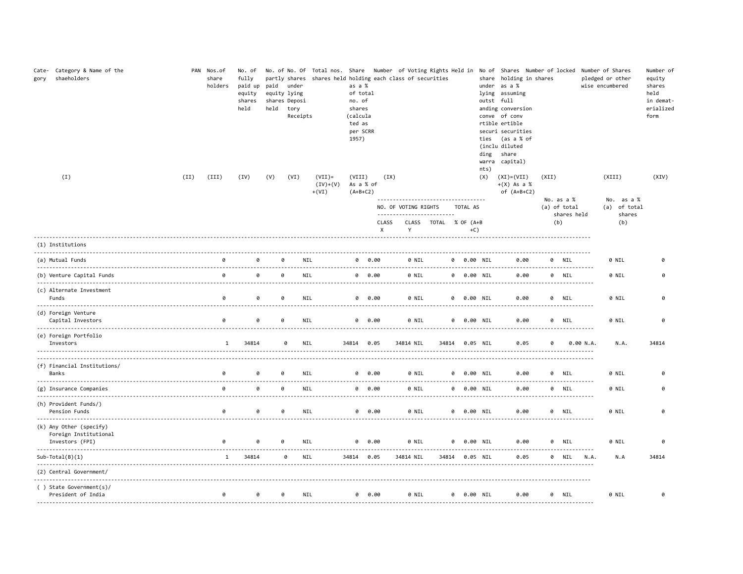| Category & Name of the<br>Cate-<br>shaeholders<br>gory              | PAN | Nos.of<br>share<br>holders | No. of<br>fully<br>paid up<br>equity<br>shares<br>held |          | paid under<br>equity lying<br>shares Deposi<br>held tory<br>Receipts | partly shares shares held holding each class of securities | as a %<br>of total<br>no. of<br>shares<br>(calcula<br>ted as<br>per SCRR<br>1957) |                                    |                                                                                             |       |                       |            |       | ties<br>ding | No. of No. Of Total nos. Share Number of Voting Rights Held in No of Shares Number of locked Number of Shares<br>share holding in shares<br>under as a %<br>lying assuming<br>outst full<br>anding conversion<br>conve of conv<br>rtible ertible<br>securi securities<br>(as a % of<br>(inclu diluted<br>share<br>warra capital) |       |                            |                    | pledged or other<br>wise encumbered | Number of<br>equity<br>shares<br>held<br>in demat-<br>erialized<br>form |
|---------------------------------------------------------------------|-----|----------------------------|--------------------------------------------------------|----------|----------------------------------------------------------------------|------------------------------------------------------------|-----------------------------------------------------------------------------------|------------------------------------|---------------------------------------------------------------------------------------------|-------|-----------------------|------------|-------|--------------|----------------------------------------------------------------------------------------------------------------------------------------------------------------------------------------------------------------------------------------------------------------------------------------------------------------------------------|-------|----------------------------|--------------------|-------------------------------------|-------------------------------------------------------------------------|
| (I)<br>(II)                                                         |     | (III)                      | (IV)                                                   | (V)      | (VI)                                                                 | $(VII)$ =<br>$(IV)+(V)$<br>$+(VI)$                         | (VIII)<br>As a % of<br>$(A+B+C2)$                                                 |                                    | (IX)                                                                                        |       |                       |            |       | nts)<br>(X)  | $(XI) = (VII)$<br>$+(X)$ As a %<br>of $(A+B+C2)$                                                                                                                                                                                                                                                                                 | (XII) |                            |                    | (XIII)                              | (XIV)                                                                   |
|                                                                     |     |                            |                                                        |          |                                                                      |                                                            |                                                                                   |                                    | -------------------------------------<br>NO. OF VOTING RIGHTS<br>-------------------------- |       |                       | TOTAL AS   |       |              |                                                                                                                                                                                                                                                                                                                                  |       | No. as a %<br>(a) of total |                    | No. as a %<br>(a) of total          |                                                                         |
|                                                                     |     |                            |                                                        |          |                                                                      |                                                            |                                                                                   | CLASS<br>$\boldsymbol{\mathsf{x}}$ | Y                                                                                           |       | CLASS TOTAL % OF (A+B |            | $+C)$ |              |                                                                                                                                                                                                                                                                                                                                  |       | shares held<br>(b)         |                    | shares<br>(b)                       |                                                                         |
| (1) Institutions                                                    |     |                            |                                                        |          |                                                                      |                                                            |                                                                                   |                                    |                                                                                             |       |                       |            |       |              |                                                                                                                                                                                                                                                                                                                                  |       |                            |                    |                                     |                                                                         |
| (a) Mutual Funds                                                    |     | a                          | $\theta$                                               |          | <b>NIL</b><br>0                                                      |                                                            |                                                                                   | 0 0.00                             |                                                                                             | 0 NIL |                       | 0 0.00 NIL |       |              | 0.00                                                                                                                                                                                                                                                                                                                             |       | 0 NIL                      |                    | 0 NIL                               | a                                                                       |
| (b) Venture Capital Funds                                           |     | 0                          | 0                                                      | 0        | <b>NIL</b>                                                           |                                                            |                                                                                   | 0 0.00                             |                                                                                             | 0 NIL |                       | 0 0.00 NIL |       |              | 0.00                                                                                                                                                                                                                                                                                                                             |       | 0 NIL                      |                    | 0 NIL                               | a                                                                       |
| (c) Alternate Investment<br>Funds                                   |     | 0                          | 0                                                      | 0        | <b>NIL</b>                                                           |                                                            |                                                                                   | 0 0.00                             |                                                                                             | 0 NIL |                       | 0 0.00 NIL |       |              | 0.00                                                                                                                                                                                                                                                                                                                             |       | 0 NIL<br>---------------   |                    | 0 NIL                               | ø                                                                       |
| (d) Foreign Venture<br>Capital Investors                            |     | 0                          | 0                                                      | $\theta$ | NIL                                                                  |                                                            |                                                                                   | 0 0.00                             |                                                                                             | 0 NIL |                       | 0          |       | 0.00 NIL     | 0.00                                                                                                                                                                                                                                                                                                                             |       | 0 NIL                      |                    | 0 NIL                               | 0                                                                       |
| (e) Foreign Portfolio<br>Investors                                  |     | 1                          | 34814                                                  |          | NIL<br>0                                                             |                                                            | 34814 0.05                                                                        |                                    | 34814 NIL                                                                                   |       | 34814   0.05   NIL    |            |       |              | 0.05                                                                                                                                                                                                                                                                                                                             | ø     |                            | 0.00 N.A.          | N.A.                                | 34814                                                                   |
| (f) Financial Institutions/<br>Banks                                |     | 0                          | 0                                                      | ø        | NIL                                                                  |                                                            |                                                                                   | 0 0.00                             |                                                                                             | 0 NIL |                       | 0 0.00 NIL |       |              | 0.00                                                                                                                                                                                                                                                                                                                             |       | 0 NIL                      |                    | 0 NIL                               | $\theta$                                                                |
| (g) Insurance Companies                                             |     | 0                          | 0                                                      | 0        | NIL                                                                  |                                                            |                                                                                   | 0 0.00                             |                                                                                             | 0 NIL |                       | 0 0.00 NIL |       |              | 0.00                                                                                                                                                                                                                                                                                                                             |       | 0 NIL                      |                    | 0 NIL                               | ø                                                                       |
| (h) Provident Funds/)<br>Pension Funds                              |     | 0                          | ø                                                      |          | 0<br><b>NIL</b>                                                      |                                                            |                                                                                   | 0 0.00                             |                                                                                             | 0 NIL |                       | 0 0.00 NIL |       |              | 0.00                                                                                                                                                                                                                                                                                                                             |       | 0 NIL                      |                    | 0 NIL                               | ø                                                                       |
| (k) Any Other (specify)<br>Foreign Institutional<br>Investors (FPI) |     | 0                          | ø                                                      | ø        | NIL                                                                  | ----- <b>-------------</b> -                               | 0                                                                                 | 0.00                               |                                                                                             | 0 NIL | 0                     |            |       | 0.00 NIL     | 0.00                                                                                                                                                                                                                                                                                                                             |       | 0 NIL                      |                    | 0 NIL                               | 0                                                                       |
| $Sub-Total(B)(1)$                                                   |     | $\mathbf{1}$               | --------<br>34814                                      |          | 0<br>NIL                                                             |                                                            | 34814 0.05                                                                        |                                    | 34814 NIL                                                                                   |       | 34814 0.05 NIL        |            |       |              | 0.05                                                                                                                                                                                                                                                                                                                             |       | 0 NIL                      | ----------<br>N.A. | N.A                                 | 34814                                                                   |
| (2) Central Government/                                             |     |                            |                                                        |          |                                                                      |                                                            |                                                                                   |                                    |                                                                                             |       |                       |            |       |              |                                                                                                                                                                                                                                                                                                                                  |       |                            |                    |                                     |                                                                         |
| () State Government(s)/<br>President of India                       |     | 0                          | a                                                      |          | <b>NIL</b><br>0                                                      |                                                            |                                                                                   | 0 0.00                             |                                                                                             | 0 NIL |                       | 0 0.00 NIL |       |              | 0.00                                                                                                                                                                                                                                                                                                                             |       | 0 NIL                      |                    | 0 NIL                               | ø                                                                       |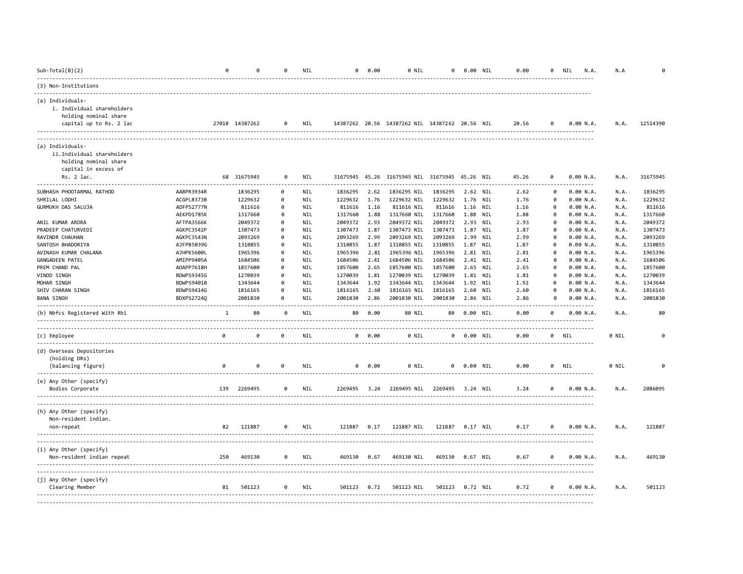| $Sub-Total(B)(2)$                                                                                             |                   |     | a              | ø        | <b>NIL</b>       | a            | 0.00   | 0 NIL                                          | 0       | 0.00 NIL |            | 0.00  | 0 | NIL<br>N.A.    | N.A   |          |
|---------------------------------------------------------------------------------------------------------------|-------------------|-----|----------------|----------|------------------|--------------|--------|------------------------------------------------|---------|----------|------------|-------|---|----------------|-------|----------|
| (3) Non-Institutions                                                                                          |                   |     |                |          |                  |              |        |                                                |         |          |            |       |   |                |       |          |
| (a) Individuals-<br>i. Individual shareholders<br>holding nominal share<br>capital up to Rs. 2 lac            |                   |     | 27018 14387262 | 0        | NIL              |              |        | 14387262 20.56 14387262 NIL 14387262 20.56 NIL |         |          |            | 20.56 | ø | 0.00 N.A.      | N.A.  | 12514390 |
| (a) Individuals-<br>ii.Individual shareholders<br>holding nominal share<br>capital in excess of<br>Rs. 2 lac. |                   |     | 68 31675945    | 0        | <b>NIL</b>       |              |        | 31675945 45.26 31675945 NIL 31675945 45.26 NIL |         |          |            | 45.26 | a | 0.00 N.A.      | N.A.  | 31675945 |
| .<br>SUBHASH PHOOTARMAL RATHOD                                                                                | AABPR3934R        |     | 1836295        | ø        | <b>NIL</b>       | 1836295      | 2.62   | 1836295 NIL                                    | 1836295 | 2.62 NIL |            | 2.62  | a | 0.00 N.A.      | N.A.  | 1836295  |
| SHRILAL LODHI                                                                                                 | ACGPL8373B        |     | 1229632        | 0        | NIL              | 1229632      | 1.76   | 1229632 NIL                                    | 1229632 | 1.76     | NIL        | 1.76  | ø | 0.00 N.A.      | N.A.  | 1229632  |
| GURMUKH DAS SALUJA                                                                                            | ADFPS2777N        |     | 811616         | ø        | NIL              | 811616       | 1.16   | 811616 NIL                                     | 811616  | 1.16     | NIL        | 1.16  | ø | 0.00 N.A.      | N.A.  | 811616   |
|                                                                                                               | AEKPD1785K        |     | 1317660        | ø        | NIL              | 1317660      | 1.88   | 1317660 NIL                                    | 1317660 | 1.88     | NIL        | 1.88  | ø | 0.00 N.A.      | N.A.  | 1317660  |
| ANIL KUMAR ARORA                                                                                              | AFTPA3566K        |     | 2049372        | $\theta$ | NIL              | 2049372      | 2.93   | 2049372 NIL                                    | 2049372 | 2.93     | <b>NIL</b> | 2.93  | ø | 0.00 N.A.      | N.A.  | 2049372  |
| PRADEEP CHATURVEDI                                                                                            | AGKPC3542P        |     | 1307473        | 0        | NIL              | 1307473      | 1.87   | 1307473 NIL                                    | 1307473 | 1.87     | NIL        | 1.87  | ø | 0.00 N.A.      | N.A.  | 1307473  |
| RAVINDR CHAUHAN                                                                                               | AGKPC3543N        |     | 2093269        | 0        | NIL              | 2093269      | 2.99   | 2093269 NIL                                    | 2093269 | 2.99     | NIL        | 2.99  | ø | 0.00 N.A.      | N.A.  | 2093269  |
| SANTOSH BHADORIYA                                                                                             | AJFPB5039G        |     | 1310855        | 0        | NIL              | 1310855      | 1.87   | 1310855 NIL                                    | 1310855 | 1.87     | NIL        | 1.87  | 0 | 0.00 N.A.      | N.A.  | 1310855  |
| AVINASH KUMAR CHALANA                                                                                         | AJHPK5600L        |     | 1965396        | 0        | NIL              | 1965396      | 2.81   | 1965396 NIL                                    | 1965396 | 2.81     | NIL        | 2.81  | ø | 0.00 N.A.      | N.A.  | 1965396  |
| GANGADEEN PATEL                                                                                               | AMIPP9405A        |     | 1684506        | 0        | NIL              | 1684506      | 2.41   | 1684506 NIL                                    | 1684506 | 2.41     | NIL        | 2.41  | ø | 0.00 N.A.      | N.A.  | 1684506  |
| PREM CHAND PAL                                                                                                | AOAPP7618H        |     | 1857600        | 0        | NIL              | 1857600      | 2.65   | 1857600 NIL                                    | 1857600 | 2.65     | NIL        | 2.65  | ø | 0.00 N.A.      | N.A.  | 1857600  |
| VINOD SINGH                                                                                                   | BDWPS9345G        |     | 1270039        | 0        | NIL              | 1270039      | 1.81   | 1270039 NIL                                    | 1270039 | 1.81     | NIL        | 1.81  | a | 0.00 N.A.      | N.A.  | 1270039  |
| MOHAR SINGH                                                                                                   | BDWPS9401B        |     | 1343644        | ø        | <b>NIL</b>       | 1343644      | 1.92   | 1343644 NIL                                    | 1343644 | 1.92     | NIL        | 1.92  | 0 | 0.00 N.A.      | N.A.  | 1343644  |
| SHIV CHARAN SINGH                                                                                             | BDWPS9414G        |     | 1816165        | 0        | <b>NIL</b>       | 1816165      | 2.60   | 1816165 NIL                                    | 1816165 | 2.60     | NIL        | 2.60  | a | 0.00 N.A.      | N.A.  | 1816165  |
| <b>BANA SINGH</b>                                                                                             | <b>BDXPS27240</b> |     | 2001830        | $\theta$ | NIL              | 2001830      | 2.86   | 2001830 NIL                                    | 2001830 | 2.86 NIL |            | 2.86  | 0 | 0.00 N.A.      | N.A.  | 2001830  |
| (b) Nbfcs Registered With Rbi                                                                                 |                   | 1   | 80             | 0        | $- - - -$<br>NIL | 80           | 0.00   | 80 NIL                                         | 80      | 0.00 NIL |            | 0.00  | ø | .<br>0.00 N.A. | N.A.  | 80       |
| (c) Employee                                                                                                  |                   | 0   | 0              | $\theta$ | <b>NIL</b>       |              | 0 0.00 | 0 NIL                                          | 0       | 0.00 NIL |            | 0.00  |   | 0 NIL          | 0 NIL | ø        |
| (d) Overseas Depositories<br>(holding DRs)<br>(balancing figure)                                              |                   | 0   | 0              | 0        | NIL              | 0            | 0.00   | 0 NIL                                          | 0       | 0.00 NIL |            | 0.00  |   | 0 NIL          | 0 NIL |          |
|                                                                                                               |                   |     |                |          |                  |              |        |                                                |         |          |            |       |   | <u>.</u>       |       |          |
| (e) Any Other (specify)<br>Bodies Corporate                                                                   |                   |     | 139 2269495    | 0        | <b>NIL</b>       | 2269495 3.24 |        | 2269495 NIL                                    | 2269495 | 3.24 NIL |            | 3.24  | a | 0.00 N.A.      | N.A.  | 2086095  |
| (h) Any Other (specify)<br>Non-resident indian.<br>non-repeat                                                 |                   | 82  | 121887         | 0        | NIL              | 121887       | 0.17   | 121887 NIL                                     | 121887  | 0.17 NIL |            | 0.17  | 0 | 0.00 N.A.      | N.A.  | 121887   |
|                                                                                                               |                   |     |                |          |                  |              |        |                                                |         |          |            |       |   |                |       |          |
| (i) Any Other (specify)<br>Non-resident indian repeat                                                         |                   | 250 | 469130         | 0        | NIL              | 469130       | 0.67   | 469130 NIL                                     | 469130  | 0.67 NIL |            | 0.67  | 0 | 0.00 N.A.      | N.A.  | 469130   |
| (j) Any Other (specify)<br>Clearing Member                                                                    |                   | 81  | 501123         | 0        | NIL              | 501123       | 0.72   | 501123 NIL                                     | 501123  | 0.72 NIL |            | 0.72  | 0 | 0.00 N.A.      | N.A.  | 501123   |
|                                                                                                               |                   |     |                |          |                  |              |        |                                                |         |          |            |       |   |                |       |          |